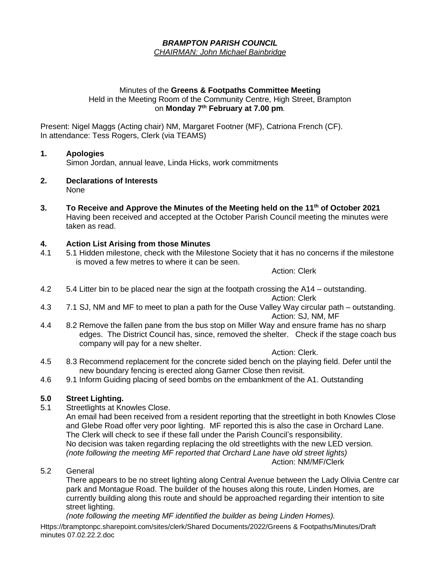#### *BRAMPTON PARISH COUNCIL CHAIRMAN: John Michael Bainbridge*

#### Minutes of the **Greens & Footpaths Committee Meeting** Held in the Meeting Room of the Community Centre, High Street, Brampton on **Monday 7 th February at 7.00 pm***.*

Present: Nigel Maggs (Acting chair) NM, Margaret Footner (MF), Catriona French (CF). In attendance: Tess Rogers, Clerk (via TEAMS)

#### **1. Apologies**

Simon Jordan, annual leave, Linda Hicks, work commitments

- **2. Declarations of Interests** None
- **3. To Receive and Approve the Minutes of the Meeting held on the 11th of October 2021** Having been received and accepted at the October Parish Council meeting the minutes were taken as read.

# **4. Action List Arising from those Minutes**

5.1 Hidden milestone, check with the Milestone Society that it has no concerns if the milestone is moved a few metres to where it can be seen.

Action: Clerk

4.2 5.4 Litter bin to be placed near the sign at the footpath crossing the A14 – outstanding.

Action: Clerk

- 4.3 7.1 SJ, NM and MF to meet to plan a path for the Ouse Valley Way circular path outstanding. Action: SJ, NM, MF
- 4.4 8.2 Remove the fallen pane from the bus stop on Miller Way and ensure frame has no sharp edges. The District Council has, since, removed the shelter. Check if the stage coach bus company will pay for a new shelter.

Action: Clerk.

- 4.5 8.3 Recommend replacement for the concrete sided bench on the playing field. Defer until the new boundary fencing is erected along Garner Close then revisit.
- 4.6 9.1 Inform Guiding placing of seed bombs on the embankment of the A1. Outstanding

#### **5.0 Street Lighting.**

5.1 Streetlights at Knowles Close.

An email had been received from a resident reporting that the streetlight in both Knowles Close and Glebe Road offer very poor lighting. MF reported this is also the case in Orchard Lane. The Clerk will check to see if these fall under the Parish Council's responsibility. No decision was taken regarding replacing the old streetlights with the new LED version. *(note following the meeting MF reported that Orchard Lane have old street lights)* Action: NM/MF/Clerk

5.2 General

There appears to be no street lighting along Central Avenue between the Lady Olivia Centre car park and Montague Road. The builder of the houses along this route, Linden Homes, are currently building along this route and should be approached regarding their intention to site street lighting.

Https://bramptonpc.sharepoint.com/sites/clerk/Shared Documents/2022/Greens & Footpaths/Minutes/Draft minutes 07.02.22.2.doc *(note following the meeting MF identified the builder as being Linden Homes).*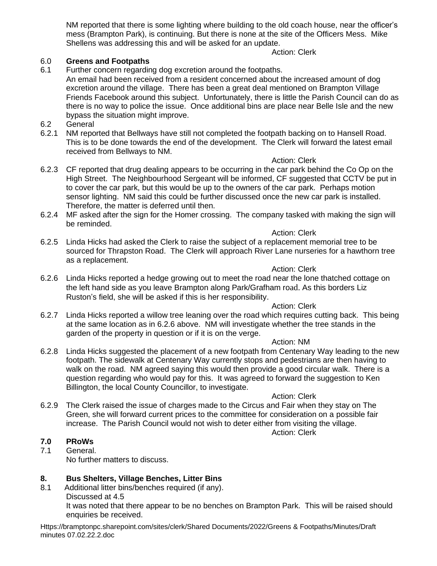NM reported that there is some lighting where building to the old coach house, near the officer's mess (Brampton Park), is continuing. But there is none at the site of the Officers Mess. Mike Shellens was addressing this and will be asked for an update.

#### Action: Clerk

#### 6.0 **Greens and Footpaths**

6.1 Further concern regarding dog excretion around the footpaths.

An email had been received from a resident concerned about the increased amount of dog excretion around the village. There has been a great deal mentioned on Brampton Village Friends Facebook around this subject. Unfortunately, there is little the Parish Council can do as there is no way to police the issue. Once additional bins are place near Belle Isle and the new bypass the situation might improve.

- 6.2 General
- 6.2.1 NM reported that Bellways have still not completed the footpath backing on to Hansell Road. This is to be done towards the end of the development. The Clerk will forward the latest email received from Bellways to NM.

#### Action: Clerk

- 6.2.3 CF reported that drug dealing appears to be occurring in the car park behind the Co Op on the High Street. The Neighbourhood Sergeant will be informed, CF suggested that CCTV be put in to cover the car park, but this would be up to the owners of the car park. Perhaps motion sensor lighting. NM said this could be further discussed once the new car park is installed. Therefore, the matter is deferred until then.
- 6.2.4 MF asked after the sign for the Homer crossing. The company tasked with making the sign will be reminded.

#### Action: Clerk

6.2.5 Linda Hicks had asked the Clerk to raise the subject of a replacement memorial tree to be sourced for Thrapston Road. The Clerk will approach River Lane nurseries for a hawthorn tree as a replacement.

#### Action: Clerk

6.2.6 Linda Hicks reported a hedge growing out to meet the road near the lone thatched cottage on the left hand side as you leave Brampton along Park/Grafham road. As this borders Liz Ruston's field, she will be asked if this is her responsibility.

#### Action: Clerk

6.2.7 Linda Hicks reported a willow tree leaning over the road which requires cutting back. This being at the same location as in 6.2.6 above. NM will investigate whether the tree stands in the garden of the property in question or if it is on the verge.

#### Action: NM

6.2.8 Linda Hicks suggested the placement of a new footpath from Centenary Way leading to the new footpath. The sidewalk at Centenary Way currently stops and pedestrians are then having to walk on the road. NM agreed saying this would then provide a good circular walk. There is a question regarding who would pay for this. It was agreed to forward the suggestion to Ken Billington, the local County Councillor, to investigate.

#### Action: Clerk

6.2.9 The Clerk raised the issue of charges made to the Circus and Fair when they stay on The Green, she will forward current prices to the committee for consideration on a possible fair increase. The Parish Council would not wish to deter either from visiting the village.

#### Action: Clerk

#### **7.0 PRoWs**

7.1 General. No further matters to discuss.

#### **8. Bus Shelters, Village Benches, Litter Bins**

8.1 Additional litter bins/benches required (if any). Discussed at 4.5 It was noted that there appear to be no benches on Brampton Park. This will be raised should enquiries be received.

Https://bramptonpc.sharepoint.com/sites/clerk/Shared Documents/2022/Greens & Footpaths/Minutes/Draft minutes 07.02.22.2.doc